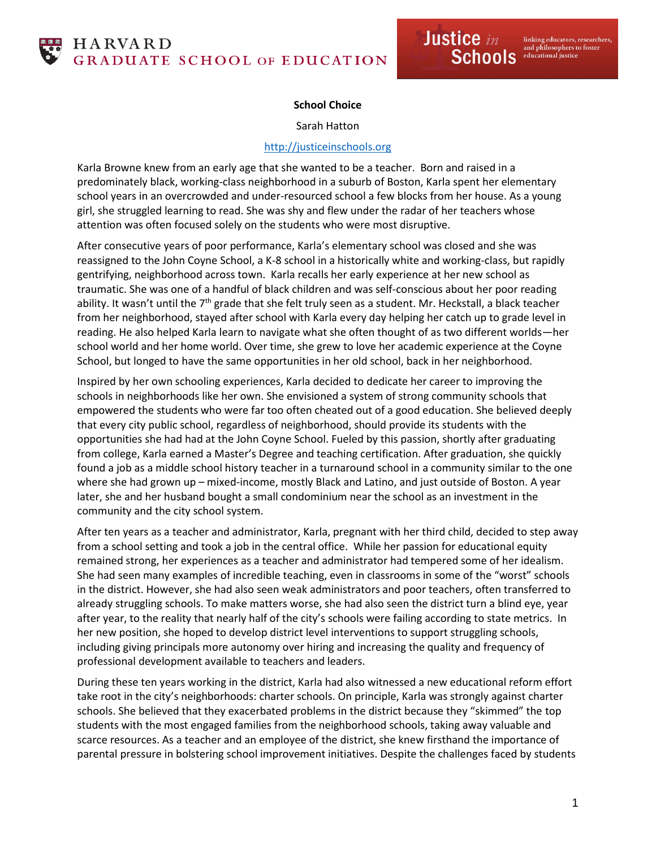## **School Choice**

Sarah Hatton

## [http://justiceinschools.org](http://justiceinschools.org/)

Karla Browne knew from an early age that she wanted to be a teacher. Born and raised in a predominately black, working-class neighborhood in a suburb of Boston, Karla spent her elementary school years in an overcrowded and under-resourced school a few blocks from her house. As a young girl, she struggled learning to read. She was shy and flew under the radar of her teachers whose attention was often focused solely on the students who were most disruptive.

After consecutive years of poor performance, Karla's elementary school was closed and she was reassigned to the John Coyne School, a K-8 school in a historically white and working-class, but rapidly gentrifying, neighborhood across town. Karla recalls her early experience at her new school as traumatic. She was one of a handful of black children and was self-conscious about her poor reading ability. It wasn't until the  $7<sup>th</sup>$  grade that she felt truly seen as a student. Mr. Heckstall, a black teacher from her neighborhood, stayed after school with Karla every day helping her catch up to grade level in reading. He also helped Karla learn to navigate what she often thought of as two different worlds—her school world and her home world. Over time, she grew to love her academic experience at the Coyne School, but longed to have the same opportunities in her old school, back in her neighborhood.

Inspired by her own schooling experiences, Karla decided to dedicate her career to improving the schools in neighborhoods like her own. She envisioned a system of strong community schools that empowered the students who were far too often cheated out of a good education. She believed deeply that every city public school, regardless of neighborhood, should provide its students with the opportunities she had had at the John Coyne School. Fueled by this passion, shortly after graduating from college, Karla earned a Master's Degree and teaching certification. After graduation, she quickly found a job as a middle school history teacher in a turnaround school in a community similar to the one where she had grown up – mixed-income, mostly Black and Latino, and just outside of Boston. A year later, she and her husband bought a small condominium near the school as an investment in the community and the city school system.

After ten years as a teacher and administrator, Karla, pregnant with her third child, decided to step away from a school setting and took a job in the central office. While her passion for educational equity remained strong, her experiences as a teacher and administrator had tempered some of her idealism. She had seen many examples of incredible teaching, even in classrooms in some of the "worst" schools in the district. However, she had also seen weak administrators and poor teachers, often transferred to already struggling schools. To make matters worse, she had also seen the district turn a blind eye, year after year, to the reality that nearly half of the city's schools were failing according to state metrics. In her new position, she hoped to develop district level interventions to support struggling schools, including giving principals more autonomy over hiring and increasing the quality and frequency of professional development available to teachers and leaders.

During these ten years working in the district, Karla had also witnessed a new educational reform effort take root in the city's neighborhoods: charter schools. On principle, Karla was strongly against charter schools. She believed that they exacerbated problems in the district because they "skimmed" the top students with the most engaged families from the neighborhood schools, taking away valuable and scarce resources. As a teacher and an employee of the district, she knew firsthand the importance of parental pressure in bolstering school improvement initiatives. Despite the challenges faced by students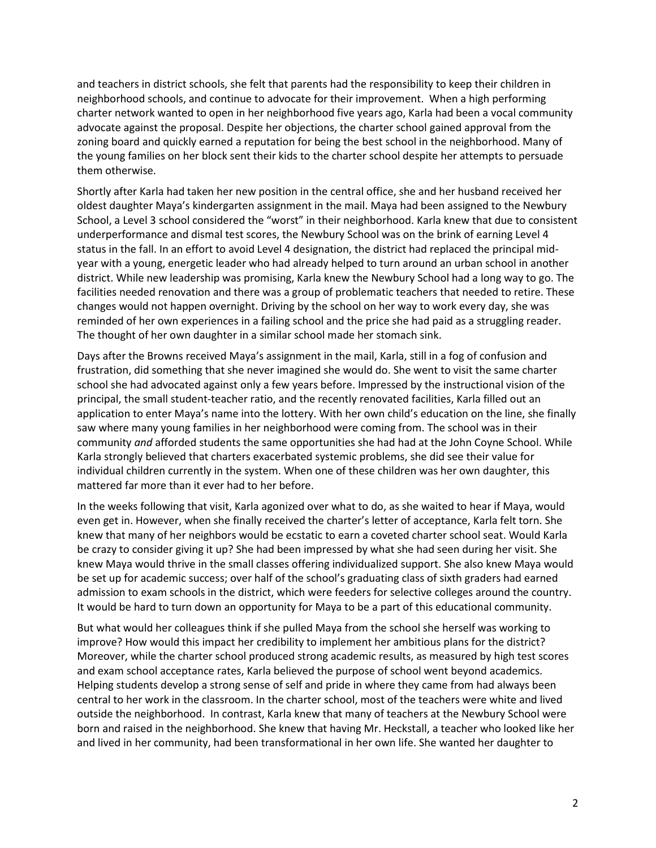and teachers in district schools, she felt that parents had the responsibility to keep their children in neighborhood schools, and continue to advocate for their improvement. When a high performing charter network wanted to open in her neighborhood five years ago, Karla had been a vocal community advocate against the proposal. Despite her objections, the charter school gained approval from the zoning board and quickly earned a reputation for being the best school in the neighborhood. Many of the young families on her block sent their kids to the charter school despite her attempts to persuade them otherwise.

Shortly after Karla had taken her new position in the central office, she and her husband received her oldest daughter Maya's kindergarten assignment in the mail. Maya had been assigned to the Newbury School, a Level 3 school considered the "worst" in their neighborhood. Karla knew that due to consistent underperformance and dismal test scores, the Newbury School was on the brink of earning Level 4 status in the fall. In an effort to avoid Level 4 designation, the district had replaced the principal midyear with a young, energetic leader who had already helped to turn around an urban school in another district. While new leadership was promising, Karla knew the Newbury School had a long way to go. The facilities needed renovation and there was a group of problematic teachers that needed to retire. These changes would not happen overnight. Driving by the school on her way to work every day, she was reminded of her own experiences in a failing school and the price she had paid as a struggling reader. The thought of her own daughter in a similar school made her stomach sink.

Days after the Browns received Maya's assignment in the mail, Karla, still in a fog of confusion and frustration, did something that she never imagined she would do. She went to visit the same charter school she had advocated against only a few years before. Impressed by the instructional vision of the principal, the small student-teacher ratio, and the recently renovated facilities, Karla filled out an application to enter Maya's name into the lottery. With her own child's education on the line, she finally saw where many young families in her neighborhood were coming from. The school was in their community *and* afforded students the same opportunities she had had at the John Coyne School. While Karla strongly believed that charters exacerbated systemic problems, she did see their value for individual children currently in the system. When one of these children was her own daughter, this mattered far more than it ever had to her before.

In the weeks following that visit, Karla agonized over what to do, as she waited to hear if Maya, would even get in. However, when she finally received the charter's letter of acceptance, Karla felt torn. She knew that many of her neighbors would be ecstatic to earn a coveted charter school seat. Would Karla be crazy to consider giving it up? She had been impressed by what she had seen during her visit. She knew Maya would thrive in the small classes offering individualized support. She also knew Maya would be set up for academic success; over half of the school's graduating class of sixth graders had earned admission to exam schools in the district, which were feeders for selective colleges around the country. It would be hard to turn down an opportunity for Maya to be a part of this educational community.

But what would her colleagues think if she pulled Maya from the school she herself was working to improve? How would this impact her credibility to implement her ambitious plans for the district? Moreover, while the charter school produced strong academic results, as measured by high test scores and exam school acceptance rates, Karla believed the purpose of school went beyond academics. Helping students develop a strong sense of self and pride in where they came from had always been central to her work in the classroom. In the charter school, most of the teachers were white and lived outside the neighborhood. In contrast, Karla knew that many of teachers at the Newbury School were born and raised in the neighborhood. She knew that having Mr. Heckstall, a teacher who looked like her and lived in her community, had been transformational in her own life. She wanted her daughter to